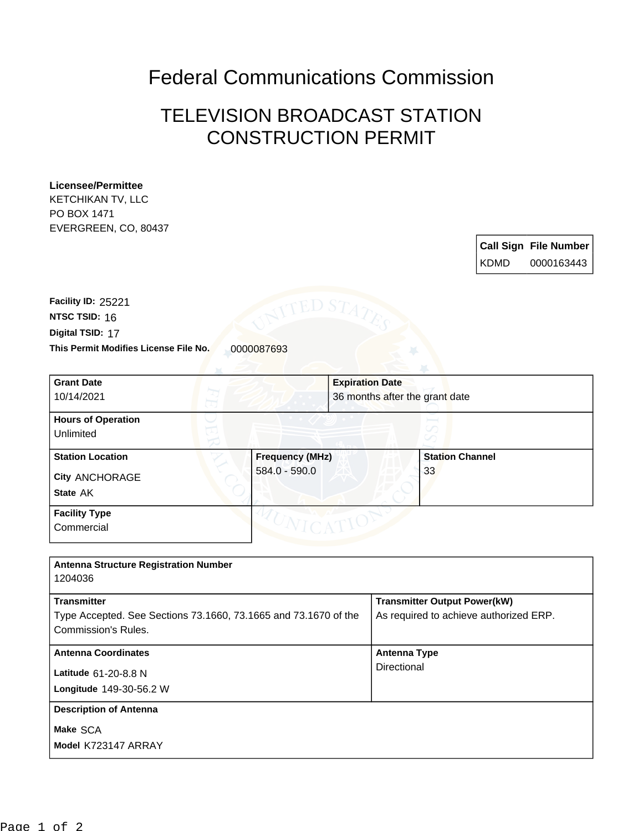## Federal Communications Commission

## TELEVISION BROADCAST STATION CONSTRUCTION PERMIT

## **Licensee/Permittee**

KETCHIKAN TV, LLC PO BOX 1471 EVERGREEN, CO, 80437

|        | <b>Call Sign File Number</b> |
|--------|------------------------------|
| l KDMD | 0000163443                   |

**This Permit Modifies License File No.** 0000087693 **Digital TSID:** 17 **NTSC TSID:** 16 **Facility ID:** 25221

| <b>Grant Date</b><br>10/14/2021                              | <b>Expiration Date</b>                  | 36 months after the grant date |  |
|--------------------------------------------------------------|-----------------------------------------|--------------------------------|--|
| <b>Hours of Operation</b><br>Unlimited                       |                                         |                                |  |
| <b>Station Location</b><br><b>City ANCHORAGE</b><br>State AK | <b>Frequency (MHz)</b><br>584.0 - 590.0 | <b>Station Channel</b><br>33   |  |
| <b>Facility Type</b><br>Commercial                           |                                         |                                |  |

| <b>Antenna Structure Registration Number</b>                                                                 |                                                                               |
|--------------------------------------------------------------------------------------------------------------|-------------------------------------------------------------------------------|
| 1204036                                                                                                      |                                                                               |
| <b>Transmitter</b><br>Type Accepted. See Sections 73.1660, 73.1665 and 73.1670 of the<br>Commission's Rules. | <b>Transmitter Output Power(kW)</b><br>As required to achieve authorized ERP. |
| <b>Antenna Coordinates</b><br>Latitude 61-20-8.8 N<br>Longitude 149-30-56.2 W                                | <b>Antenna Type</b><br>Directional                                            |
| <b>Description of Antenna</b><br>Make SCA<br>Model K723147 ARRAY                                             |                                                                               |